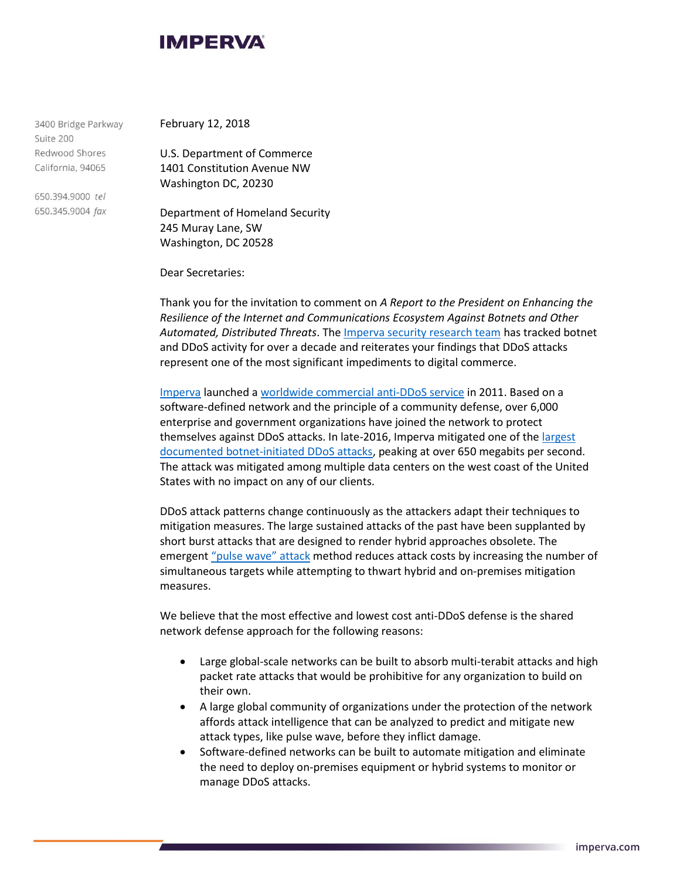

3400 Bridge Parkway Suite 200 Redwood Shores California, 94065

650.394.9000 tel 650.345.9004 fax February 12, 2018

U.S. Department of Commerce 1401 Constitution Avenue NW Washington DC, 20230

Department of Homeland Security 245 Muray Lane, SW Washington, DC 20528

Dear Secretaries:

Thank you for the invitation to comment on *A Report to the President on Enhancing the Resilience of the Internet and Communications Ecosystem Against Botnets and Other Automated, Distributed Threats*. Th[e Imperva security research team](https://www.imperva.com/DefenseCenter) has tracked botnet and DDoS activity for over a decade and reiterates your findings that DDoS attacks represent one of the most significant impediments to digital commerce.

[Imperva](https://www.imperva.com/Company) launched [a worldwide commercial anti-DDoS service](https://www.incapsula.com/ddos-protection-services.html) in 2011. Based on a software-defined network and the principle of a community defense, over 6,000 enterprise and government organizations have joined the network to protect themselves against DDoS attacks. In late-2016, Imperva mitigated one of the [largest](https://www.incapsula.com/blog/650gbps-ddos-attack-leet-botnet.html)  [documented botnet-initiated DDoS attacks,](https://www.incapsula.com/blog/650gbps-ddos-attack-leet-botnet.html) peaking at over 650 megabits per second. The attack was mitigated among multiple data centers on the west coast of the United States with no impact on any of our clients.

DDoS attack patterns change continuously as the attackers adapt their techniques to mitigation measures. The large sustained attacks of the past have been supplanted by short burst attacks that are designed to render hybrid approaches obsolete. The emergent ["pulse wave" attack](https://www.incapsula.com/blog/pulse-wave-ddos-pins-down-multiple-targets.html) method reduces attack costs by increasing the number of simultaneous targets while attempting to thwart hybrid and on-premises mitigation measures.

We believe that the most effective and lowest cost anti-DDoS defense is the shared network defense approach for the following reasons:

- Large global-scale networks can be built to absorb multi-terabit attacks and high packet rate attacks that would be prohibitive for any organization to build on their own.
- A large global community of organizations under the protection of the network affords attack intelligence that can be analyzed to predict and mitigate new attack types, like pulse wave, before they inflict damage.
- Software-defined networks can be built to automate mitigation and eliminate the need to deploy on-premises equipment or hybrid systems to monitor or manage DDoS attacks.